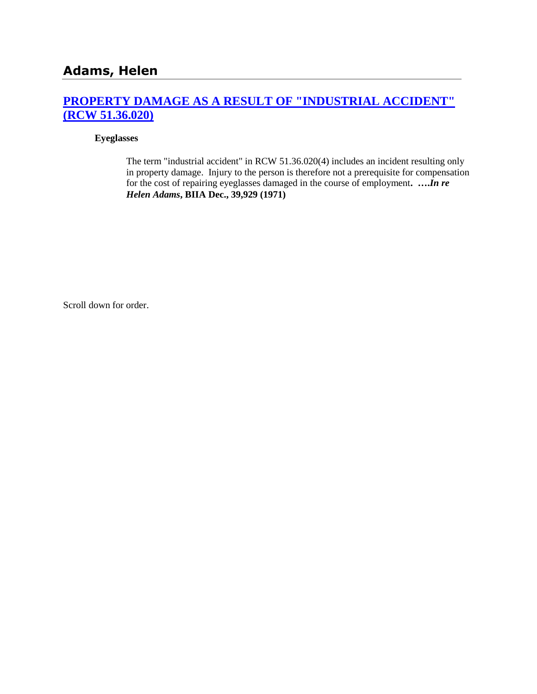# **[PROPERTY DAMAGE AS A RESULT OF "INDUSTRIAL ACCIDENT"](http://www.biia.wa.gov/SDSubjectIndex.html#PROPERTY_DAMAGE_AS_A_RESULT_OF_INDUSTRIAL_ACCIDENT)  [\(RCW 51.36.020\)](http://www.biia.wa.gov/SDSubjectIndex.html#PROPERTY_DAMAGE_AS_A_RESULT_OF_INDUSTRIAL_ACCIDENT)**

#### **Eyeglasses**

The term "industrial accident" in RCW 51.36.020(4) includes an incident resulting only in property damage. Injury to the person is therefore not a prerequisite for compensation for the cost of repairing eyeglasses damaged in the course of employment**. ….***In re Helen Adams***, BIIA Dec., 39,929 (1971)** 

Scroll down for order.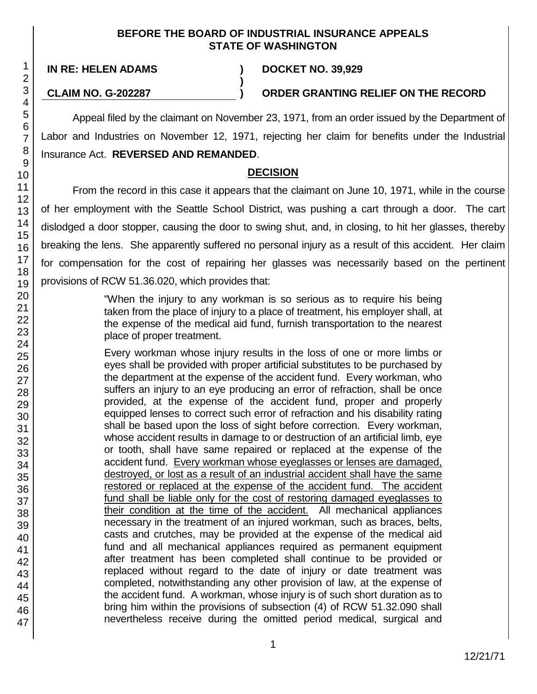#### **BEFORE THE BOARD OF INDUSTRIAL INSURANCE APPEALS STATE OF WASHINGTON**

**)**

**IN RE: HELEN ADAMS ) DOCKET NO. 39,929**

**CLAIM NO. G-202287 ) ORDER GRANTING RELIEF ON THE RECORD**

Appeal filed by the claimant on November 23, 1971, from an order issued by the Department of Labor and Industries on November 12, 1971, rejecting her claim for benefits under the Industrial Insurance Act. **REVERSED AND REMANDED**.

## **DECISION**

From the record in this case it appears that the claimant on June 10, 1971, while in the course of her employment with the Seattle School District, was pushing a cart through a door. The cart dislodged a door stopper, causing the door to swing shut, and, in closing, to hit her glasses, thereby breaking the lens. She apparently suffered no personal injury as a result of this accident. Her claim for compensation for the cost of repairing her glasses was necessarily based on the pertinent provisions of RCW 51.36.020, which provides that:

> "When the injury to any workman is so serious as to require his being taken from the place of injury to a place of treatment, his employer shall, at the expense of the medical aid fund, furnish transportation to the nearest place of proper treatment.

Every workman whose injury results in the loss of one or more limbs or eyes shall be provided with proper artificial substitutes to be purchased by the department at the expense of the accident fund. Every workman, who suffers an injury to an eye producing an error of refraction, shall be once provided, at the expense of the accident fund, proper and properly equipped lenses to correct such error of refraction and his disability rating shall be based upon the loss of sight before correction. Every workman, whose accident results in damage to or destruction of an artificial limb, eye or tooth, shall have same repaired or replaced at the expense of the accident fund. Every workman whose eyeglasses or lenses are damaged, destroyed, or lost as a result of an industrial accident shall have the same restored or replaced at the expense of the accident fund. The accident fund shall be liable only for the cost of restoring damaged eyeglasses to their condition at the time of the accident. All mechanical appliances necessary in the treatment of an injured workman, such as braces, belts, casts and crutches, may be provided at the expense of the medical aid fund and all mechanical appliances required as permanent equipment after treatment has been completed shall continue to be provided or replaced without regard to the date of injury or date treatment was completed, notwithstanding any other provision of law, at the expense of the accident fund. A workman, whose injury is of such short duration as to bring him within the provisions of subsection (4) of RCW 51.32.090 shall nevertheless receive during the omitted period medical, surgical and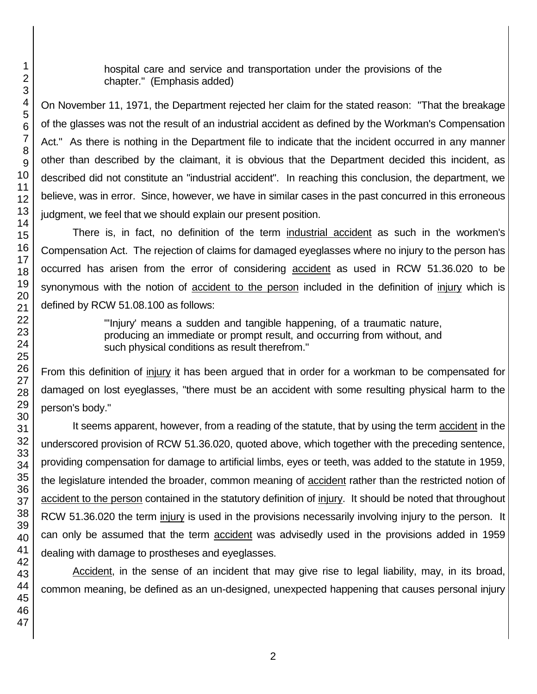hospital care and service and transportation under the provisions of the chapter." (Emphasis added)

On November 11, 1971, the Department rejected her claim for the stated reason: "That the breakage of the glasses was not the result of an industrial accident as defined by the Workman's Compensation Act." As there is nothing in the Department file to indicate that the incident occurred in any manner other than described by the claimant, it is obvious that the Department decided this incident, as described did not constitute an "industrial accident". In reaching this conclusion, the department, we believe, was in error. Since, however, we have in similar cases in the past concurred in this erroneous judgment, we feel that we should explain our present position.

There is, in fact, no definition of the term industrial accident as such in the workmen's Compensation Act. The rejection of claims for damaged eyeglasses where no injury to the person has occurred has arisen from the error of considering accident as used in RCW 51.36.020 to be synonymous with the notion of accident to the person included in the definition of injury which is defined by RCW 51.08.100 as follows:

> "'Injury' means a sudden and tangible happening, of a traumatic nature, producing an immediate or prompt result, and occurring from without, and such physical conditions as result therefrom."

From this definition of injury it has been argued that in order for a workman to be compensated for damaged on lost eyeglasses, "there must be an accident with some resulting physical harm to the person's body."

It seems apparent, however, from a reading of the statute, that by using the term accident in the underscored provision of RCW 51.36.020, quoted above, which together with the preceding sentence, providing compensation for damage to artificial limbs, eyes or teeth, was added to the statute in 1959, the legislature intended the broader, common meaning of accident rather than the restricted notion of accident to the person contained in the statutory definition of injury. It should be noted that throughout RCW 51.36.020 the term injury is used in the provisions necessarily involving injury to the person. It can only be assumed that the term accident was advisedly used in the provisions added in 1959 dealing with damage to prostheses and eyeglasses.

Accident, in the sense of an incident that may give rise to legal liability, may, in its broad, common meaning, be defined as an un-designed, unexpected happening that causes personal injury